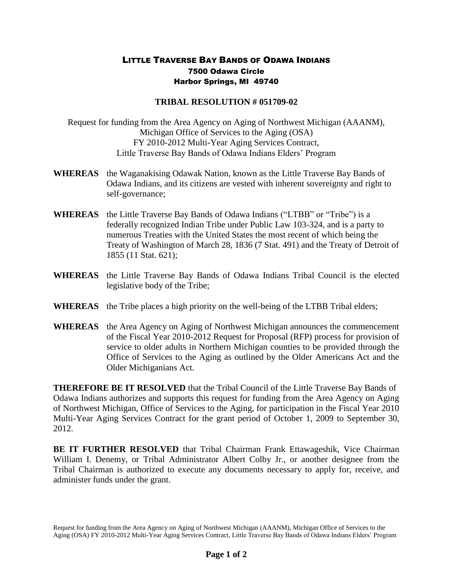## LITTLE TRAVERSE BAY BANDS OF ODAWA INDIANS 7500 Odawa Circle Harbor Springs, MI 49740

## **TRIBAL RESOLUTION # 051709-02**

Request for funding from the Area Agency on Aging of Northwest Michigan (AAANM), Michigan Office of Services to the Aging (OSA) FY 2010-2012 Multi-Year Aging Services Contract, Little Traverse Bay Bands of Odawa Indians Elders' Program

- **WHEREAS** the Waganakising Odawak Nation, known as the Little Traverse Bay Bands of Odawa Indians, and its citizens are vested with inherent sovereignty and right to self-governance;
- **WHEREAS** the Little Traverse Bay Bands of Odawa Indians ("LTBB" or "Tribe") is a federally recognized Indian Tribe under Public Law 103-324, and is a party to numerous Treaties with the United States the most recent of which being the Treaty of Washington of March 28, 1836 (7 Stat. 491) and the Treaty of Detroit of 1855 (11 Stat. 621);
- **WHEREAS** the Little Traverse Bay Bands of Odawa Indians Tribal Council is the elected legislative body of the Tribe;
- **WHEREAS** the Tribe places a high priority on the well-being of the LTBB Tribal elders;
- **WHEREAS** the Area Agency on Aging of Northwest Michigan announces the commencement of the Fiscal Year 2010-2012 Request for Proposal (RFP) process for provision of service to older adults in Northern Michigan counties to be provided through the Office of Services to the Aging as outlined by the Older Americans Act and the Older Michiganians Act.

**THEREFORE BE IT RESOLVED** that the Tribal Council of the Little Traverse Bay Bands of Odawa Indians authorizes and supports this request for funding from the Area Agency on Aging of Northwest Michigan, Office of Services to the Aging, for participation in the Fiscal Year 2010 Multi-Year Aging Services Contract for the grant period of October 1, 2009 to September 30, 2012.

**BE IT FURTHER RESOLVED** that Tribal Chairman Frank Ettawageshik, Vice Chairman William I. Denemy, or Tribal Administrator Albert Colby Jr., or another designee from the Tribal Chairman is authorized to execute any documents necessary to apply for, receive, and administer funds under the grant.

Request for funding from the Area Agency on Aging of Northwest Michigan (AAANM), Michigan Office of Services to the Aging (OSA) FY 2010-2012 Multi-Year Aging Services Contract, Little Traverse Bay Bands of Odawa Indians Elders' Program